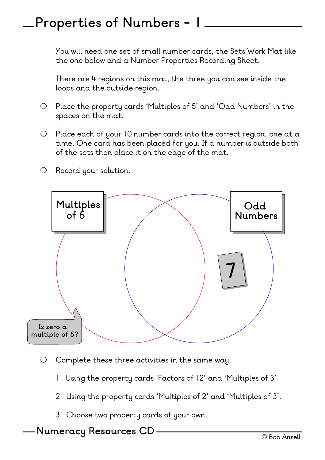### **Properties of Numbers - 1**

You will need one set of small number cards, the Sets Work Mat like the one below and a Number Properties Recording Sheet.

There are 4 regions on this mat, the three you can see inside the loops and the outside region.

- ❍ Place the property cards 'Multiples of 5' and 'Odd Numbers' in the spaces on the mat.
- ❍ Place each of your 10 number cards into the correct region, one at a time. One card has been placed for you. If a number is outside both of the sets then place it on the edge of the mat.
- ❍ Record your solution.



- ❍ Complete these three activities in the same way.
	- 1 Using the property cards 'Factors of 12' and 'Multiples of 3'
	- 2 Using the property cards 'Multiples of 2' and 'Multiples of 3'.
	- 3 Choose two property cards of your own.

#### © Bob Ansell **Numeracy Resources CD**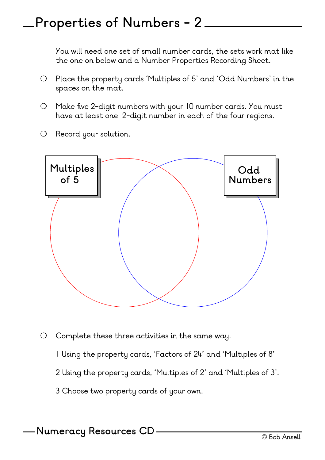## **Properties of Numbers - 2**

You will need one set of small number cards, the sets work mat like the one on below and a Number Properties Recording Sheet.

- ❍ Place the property cards 'Multiples of 5' and 'Odd Numbers' in the spaces on the mat.
- ❍ Make five 2-digit numbers with your 10 number cards. You must have at least one 2-digit number in each of the four regions.
- ❍ Record your solution.



- ❍ Complete these three activities in the same way.
	- 1 Using the property cards, 'Factors of 24' and 'Multiples of 8'
	- 2 Using the property cards, 'Multiples of 2' and 'Multiples of 3'.
	- 3 Choose two property cards of your own.

© Bob Ansell **Numeracy Resources CD**